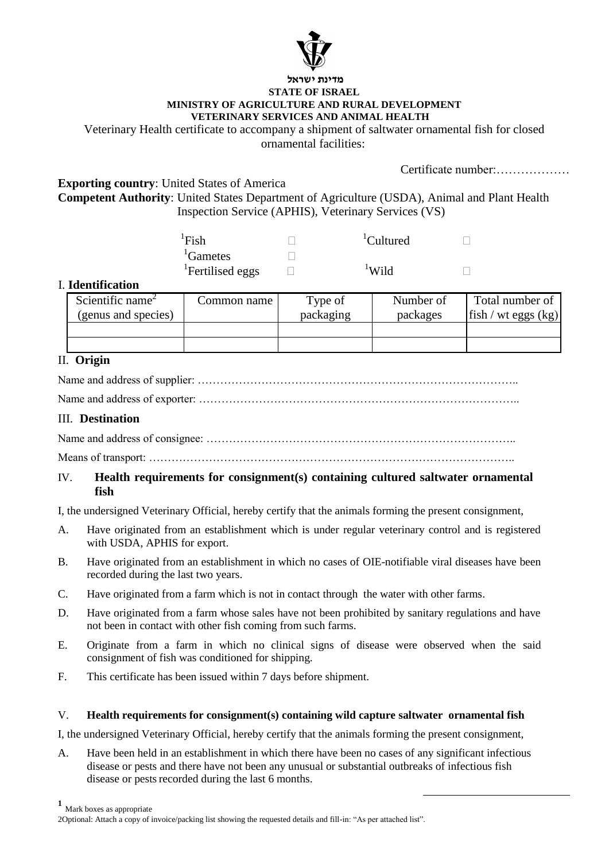

#### **מדינת ישראל STATE OF ISRAEL MINISTRY OF AGRICULTURE AND RURAL DEVELOPMENT VETERINARY SERVICES AND ANIMAL HEALTH**

Veterinary Health certificate to accompany a shipment of saltwater ornamental fish for closed ornamental facilities:

Certificate number:………………

**Exporting country**: United States of America

**Competent Authority**: United States Department of Agriculture (USDA), Animal and Plant Health Inspection Service (APHIS), Veterinary Services (VS)

> ${}^{1}$ Fish  $\Box$  ${}^{1}$ Gametes  $\qquad \qquad \Box$ <sup>1</sup>Fertilised eggs  $\qquad \Box$

 ${}^{1}$ Cultured  $\Box$  $\frac{1}{1}$ Wild  $\Box$ 

# I. **Identification**

| Scientific name <sup><math>\angle</math></sup><br>(genus and species) | Common name | Type of<br>packaging | Number of<br>packages | Total number of<br>$ \text{fish}/\text{wt eggs}(\text{kg}) $ |
|-----------------------------------------------------------------------|-------------|----------------------|-----------------------|--------------------------------------------------------------|
|                                                                       |             |                      |                       |                                                              |
|                                                                       |             |                      |                       |                                                              |

## II. **Origin**

Name and address of supplier: …………………………………………………………………………..

Name and address of exporter: …………………………………………………………………………..

### III. **Destination**

Name and address of consignee: ………………………………………………………………………..

Means of transport: ……………………………………………………………………………………..

#### IV. **Health requirements for consignment(s) containing cultured saltwater ornamental fish**

I, the undersigned Veterinary Official, hereby certify that the animals forming the present consignment,

- A. Have originated from an establishment which is under regular veterinary control and is registered with USDA, APHIS for export.
- B. Have originated from an establishment in which no cases of OIE-notifiable viral diseases have been recorded during the last two years.
- C. Have originated from a farm which is not in contact through the water with other farms.
- D. Have originated from a farm whose sales have not been prohibited by sanitary regulations and have not been in contact with other fish coming from such farms.
- E. Originate from a farm in which no clinical signs of disease were observed when the said consignment of fish was conditioned for shipping.
- F. This certificate has been issued within 7 days before shipment.

#### V. **Health requirements for consignment(s) containing wild capture saltwater ornamental fish**

I, the undersigned Veterinary Official, hereby certify that the animals forming the present consignment,

A. Have been held in an establishment in which there have been no cases of any significant infectious disease or pests and there have not been any unusual or substantial outbreaks of infectious fish disease or pests recorded during the last 6 months.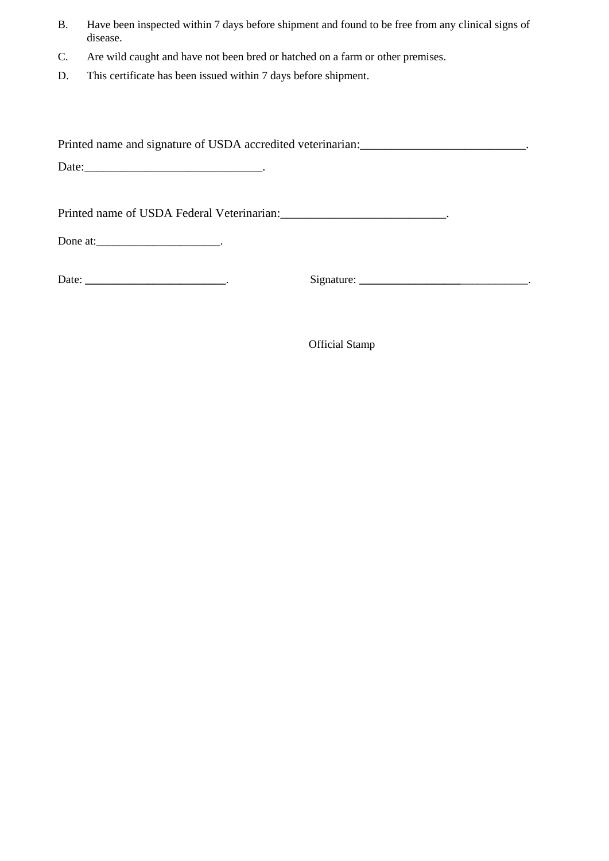- B. Have been inspected within 7 days before shipment and found to be free from any clinical signs of disease.
- C. Are wild caught and have not been bred or hatched on a farm or other premises.
- D. This certificate has been issued within 7 days before shipment.

Printed name and signature of USDA accredited veterinarian: \_\_\_\_\_\_\_\_\_\_\_\_\_\_\_\_\_\_\_\_\_\_\_\_\_\_\_\_\_\_\_\_\_.

Date:\_\_\_\_\_\_\_\_\_\_\_\_\_\_\_\_\_\_\_\_\_\_\_\_\_\_\_\_\_.

Printed name of USDA Federal Veterinarian:\_\_\_\_\_\_\_\_\_\_\_\_\_\_\_\_\_\_\_\_\_\_\_\_\_\_\_.

Done at:  $\qquad \qquad$ 

Date: **\_\_\_\_\_\_\_\_\_\_\_\_\_\_\_\_\_\_\_\_\_\_\_\_\_**. Signature: **\_\_\_\_\_\_\_\_\_\_\_\_\_\_\_\_\_\_**\_\_\_\_\_\_\_\_\_\_\_\_.

Official Stamp